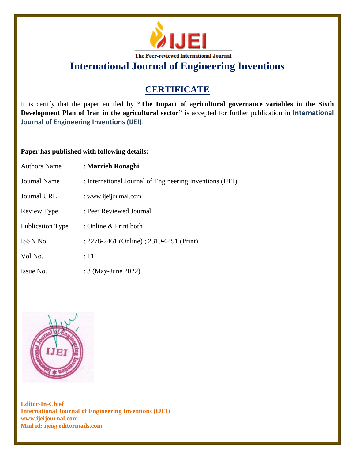

**International Journal of Engineering Inventions**

## **CERTIFICATE**

It is certify that the paper entitled by **"The Impact of agricultural governance variables in the Sixth Development Plan of Iran in the agricultural sector"** is accepted for further publication in **International Journal of Engineering Inventions (IJEI)**.

## **Paper has published with following details:**

| <b>Authors Name</b>     | : Marzieh Ronaghi                                        |
|-------------------------|----------------------------------------------------------|
| Journal Name            | : International Journal of Engineering Inventions (IJEI) |
| Journal URL             | : www.ijeijournal.com                                    |
| Review Type             | : Peer Reviewed Journal                                  |
| <b>Publication Type</b> | : Online $&$ Print both                                  |
| <b>ISSN No.</b>         | : 2278-7461 (Online) ; 2319-6491 (Print)                 |
| Vol No.                 | $\therefore$ 11                                          |
| Issue No.               | : 3 (May-June 2022)                                      |



**Editor-In-Chief International Journal of Engineering Inventions (IJEI) www.ijeijournal.com Mail id: ijei@editormails.com**